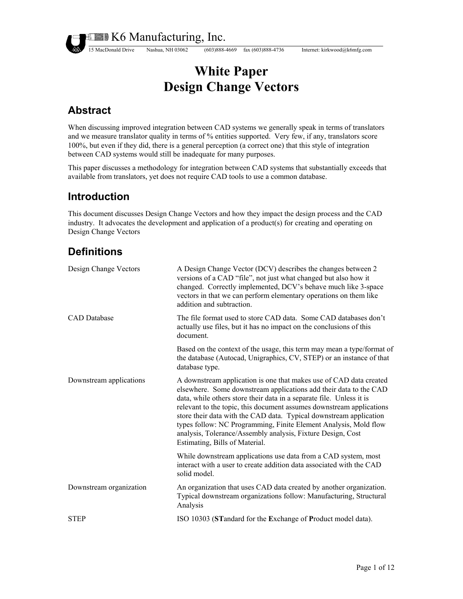15 MacDonald Drive Nashua, NH 03062 (603)888-4669 fax (603)888-4736 Internet: kirkwood@k6mfg.com

# **White Paper Design Change Vectors**

## **Abstract**

When discussing improved integration between CAD systems we generally speak in terms of translators and we measure translator quality in terms of % entities supported. Very few, if any, translators score 100%, but even if they did, there is a general perception (a correct one) that this style of integration between CAD systems would still be inadequate for many purposes.

This paper discusses a methodology for integration between CAD systems that substantially exceeds that available from translators, yet does not require CAD tools to use a common database.

## **Introduction**

This document discusses Design Change Vectors and how they impact the design process and the CAD industry. It advocates the development and application of a product(s) for creating and operating on Design Change Vectors

## **Definitions**

| Design Change Vectors   | A Design Change Vector (DCV) describes the changes between 2<br>versions of a CAD "file", not just what changed but also how it<br>changed. Correctly implemented, DCV's behave much like 3-space<br>vectors in that we can perform elementary operations on them like<br>addition and subtraction.                                                                                                                                                                                                                                |
|-------------------------|------------------------------------------------------------------------------------------------------------------------------------------------------------------------------------------------------------------------------------------------------------------------------------------------------------------------------------------------------------------------------------------------------------------------------------------------------------------------------------------------------------------------------------|
| <b>CAD</b> Database     | The file format used to store CAD data. Some CAD databases don't<br>actually use files, but it has no impact on the conclusions of this<br>document.                                                                                                                                                                                                                                                                                                                                                                               |
|                         | Based on the context of the usage, this term may mean a type/format of<br>the database (Autocad, Unigraphics, CV, STEP) or an instance of that<br>database type.                                                                                                                                                                                                                                                                                                                                                                   |
| Downstream applications | A downstream application is one that makes use of CAD data created<br>elsewhere. Some downstream applications add their data to the CAD<br>data, while others store their data in a separate file. Unless it is<br>relevant to the topic, this document assumes downstream applications<br>store their data with the CAD data. Typical downstream application<br>types follow: NC Programming, Finite Element Analysis, Mold flow<br>analysis, Tolerance/Assembly analysis, Fixture Design, Cost<br>Estimating, Bills of Material. |
|                         | While downstream applications use data from a CAD system, most<br>interact with a user to create addition data associated with the CAD<br>solid model.                                                                                                                                                                                                                                                                                                                                                                             |
| Downstream organization | An organization that uses CAD data created by another organization.<br>Typical downstream organizations follow: Manufacturing, Structural<br>Analysis                                                                                                                                                                                                                                                                                                                                                                              |
| <b>STEP</b>             | ISO 10303 (STandard for the Exchange of Product model data).                                                                                                                                                                                                                                                                                                                                                                                                                                                                       |
|                         |                                                                                                                                                                                                                                                                                                                                                                                                                                                                                                                                    |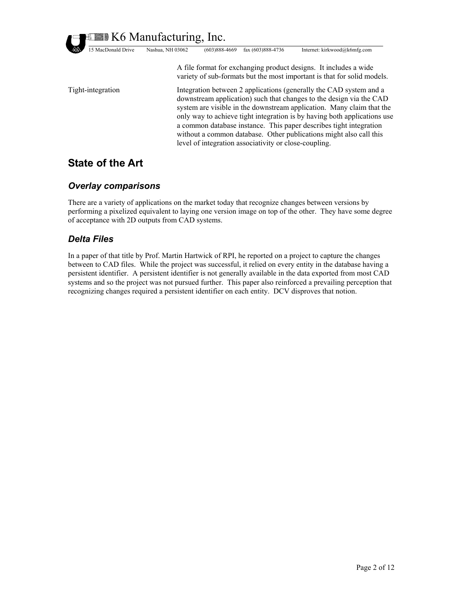**ELETTER K6 Manufacturing, Inc.** 15 MacDonald Drive Nashua, NH 03062 (603)888-4669 fax (603)888-4736 Internet: kirkwood@k6mfg.com Tight-integration system are visible in the downstream application. Many claim that the only way to achieve tight integration is by having both applications use a common database instance. This paper describes tight integration without a common database. Other publications might also call this level of integration associativity or close-coupling. A file format for exchanging product designs. It includes a wide variety of sub-formats but the most important is that for solid models. Integration between 2 applications (generally the CAD system and a downstream application) such that changes to the design via the CAD

## **State of the Art**

#### *Overlay comparisons*

There are a variety of applications on the market today that recognize changes between versions by performing a pixelized equivalent to laying one version image on top of the other. They have some degree of acceptance with 2D outputs from CAD systems.

#### *Delta Files*

persistent identifier. A persistent identifier is not generally available in the data exported from most CAD systems and so the project was not pursued further. This paper also reinforced a prevailing perception that recognizing changes required a persistent identifier on each entity. DCV disproves that notion. In a paper of that title by Prof. Martin Hartwick of RPI, he reported on a project to capture the changes between to CAD files. While the project was successful, it relied on every entity in the database having a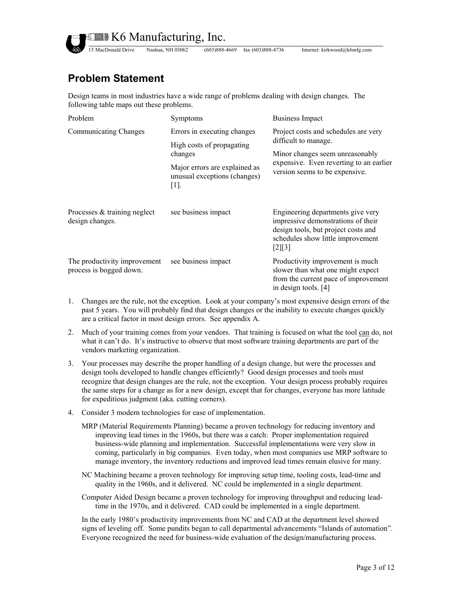

15 MacDonald Drive Nashua, NH 03062 (603)888-4669 fax (603)888-4736 Internet: kirkwood@k6mfg.com

## **Problem Statement**

Design teams in most industries have a wide range of problems dealing with design changes. The following table maps out these problems.

| Problem                                                 | Symptoms                                                                 | <b>Business Impact</b>                                                                                                                                                       |
|---------------------------------------------------------|--------------------------------------------------------------------------|------------------------------------------------------------------------------------------------------------------------------------------------------------------------------|
| <b>Communicating Changes</b>                            | Errors in executing changes                                              | Project costs and schedules are very<br>difficult to manage.<br>Minor changes seem unreasonably<br>expensive. Even reverting to an earlier<br>version seems to be expensive. |
|                                                         | High costs of propagating<br>changes                                     |                                                                                                                                                                              |
|                                                         | Major errors are explained as<br>unusual exceptions (changes)<br>$[1]$ . |                                                                                                                                                                              |
| Processes & training neglect<br>design changes.         | see business impact                                                      | Engineering departments give very<br>impressive demonstrations of their<br>design tools, but project costs and<br>schedules show little improvement<br>$[2][3]$              |
| The productivity improvement<br>process is bogged down. | see business impact                                                      | Productivity improvement is much<br>slower than what one might expect<br>from the current pace of improvement<br>in design tools. [4]                                        |

- 1. Changes are the rule, not the exception. Look at your company's most expensive design errors of the past 5 years. You will probably find that design changes or the inability to execute changes quickly are a critical factor in most design errors. See appendix A.
- 2. Much of your training comes from your vendors. That training is focused on what the tool can do, not what it can't do. It's instructive to observe that most software training departments are part of the vendors marketing organization.
- 3. Your processes may describe the proper handling of a design change, but were the processes and design tools developed to handle changes efficiently? Good design processes and tools must recognize that design changes are the rule, not the exception. Your design process probably requires the same steps for a change as for a new design, except that for changes, everyone has more latitude for expeditious judgment (aka. cutting corners).
- 4. Consider 3 modern technologies for ease of implementation.
	- MRP (Material Requirements Planning) became a proven technology for reducing inventory and improving lead times in the 1960s, but there was a catch: Proper implementation required business-wide planning and implementation. Successful implementations were very slow in coming, particularly in big companies. Even today, when most companies use MRP software to manage inventory, the inventory reductions and improved lead times remain elusive for many.
	- NC Machining became a proven technology for improving setup time, tooling costs, lead-time and quality in the 1960s, and it delivered. NC could be implemented in a single department.
	- Computer Aided Design became a proven technology for improving throughput and reducing leadtime in the 1970s, and it delivered. CAD could be implemented in a single department.

In the early 1980's productivity improvements from NC and CAD at the department level showed signs of leveling off. Some pundits began to call departmental advancements "Islands of automation". Everyone recognized the need for business-wide evaluation of the design/manufacturing process.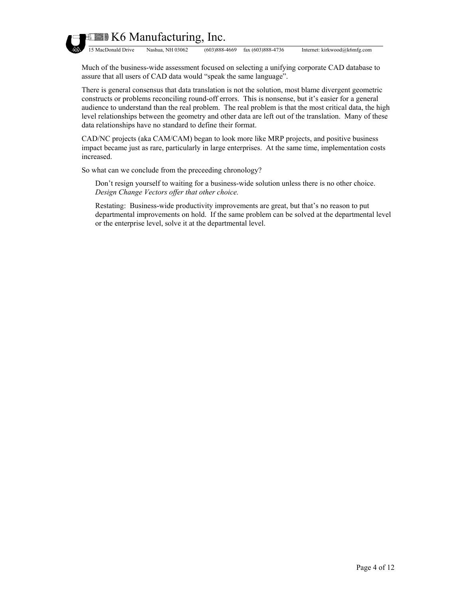

15 MacDonald Drive Nashua, NH 03062 (603)888-4669 fax (603)888-4736 Internet: kirkwood@k6mfg.com

Much of the business-wide assessment focused on selecting a unifying corporate CAD database to assure that all users of CAD data would "speak the same language".

There is general consensus that data translation is not the solution, most blame divergent geometric constructs or problems reconciling round-off errors. This is nonsense, but it's easier for a general audience to understand than the real problem. The real problem is that the most critical data, the high level relationships between the geometry and other data are left out of the translation. Many of these data relationships have no standard to define their format.

CAD/NC projects (aka CAM/CAM) began to look more like MRP projects, and positive business impact became just as rare, particularly in large enterprises. At the same time, implementation costs increased.

So what can we conclude from the preceeding chronology?

Don't resign yourself to waiting for a business-wide solution unless there is no other choice. *Design Change Vectors offer that other choice.*

Restating: Business-wide productivity improvements are great, but that's no reason to put departmental improvements on hold. If the same problem can be solved at the departmental level or the enterprise level, solve it at the departmental level.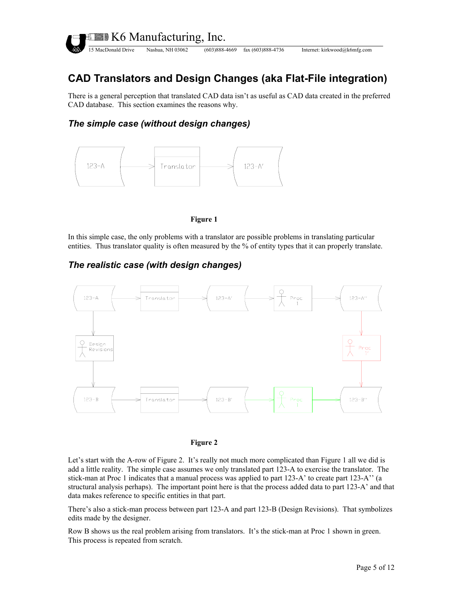

## **CAD Translators and Design Changes (aka Flat-File integration)**

There is a general perception that translated CAD data isn't as useful as CAD data created in the preferred CAD database. This section examines the reasons why.

#### *The simple case (without design changes)*



<span id="page-4-1"></span><span id="page-4-0"></span>

In this simple case, the only problems with a translator are possible problems in translating particular entities. Thus translator quality is often measured by the % of entity types that it can properly translate.

#### *The realistic case (with design changes)*





Let's start with the A-row of [Figure 2.](#page-4-0) It's really not much more complicated than [Figure 1](#page-4-1) all we did is add a little reality. The simple case assumes we only translated part 123-A to exercise the translator. The stick-man at Proc 1 indicates that a manual process was applied to part 123-A' to create part 123-A'' (a structural analysis perhaps). The important point here is that the process added data to part 123-A' and that data makes reference to specific entities in that part.

There's also a stick-man process between part 123-A and part 123-B (Design Revisions). That symbolizes edits made by the designer.

Row B shows us the real problem arising from translators. It's the stick-man at Proc 1 shown in green. This process is repeated from scratch.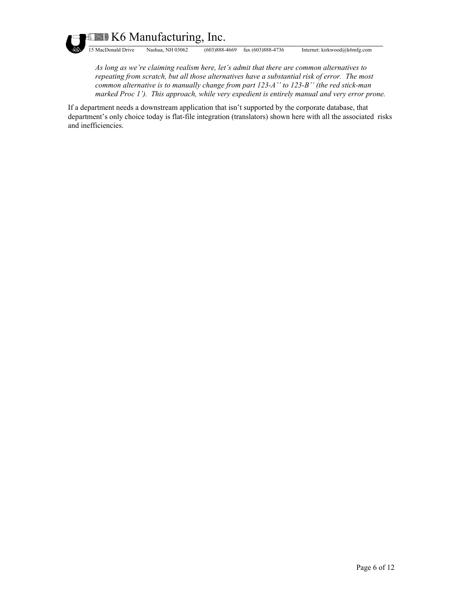

**EXED K6 Manufacturing, Inc.** 

15 MacDonald Drive Nashua, NH 03062 (603)888-4669 fax (603)888-4736 Internet: kirkwood@k6mfg.com

*As long as we're claiming realism here, let's admit that there are common alternatives to repeating from scratch, but all those alternatives have a substantial risk of error. The most common alternative is to manually change from part 123-A'' to 123-B'' (the red stick-man marked Proc 1'). This approach, while very expedient is entirely manual and very error prone.* 

If a department needs a downstream application that isn't supported by the corporate database, that department's only choice today is flat-file integration (translators) shown here with all the associated risks and inefficiencies.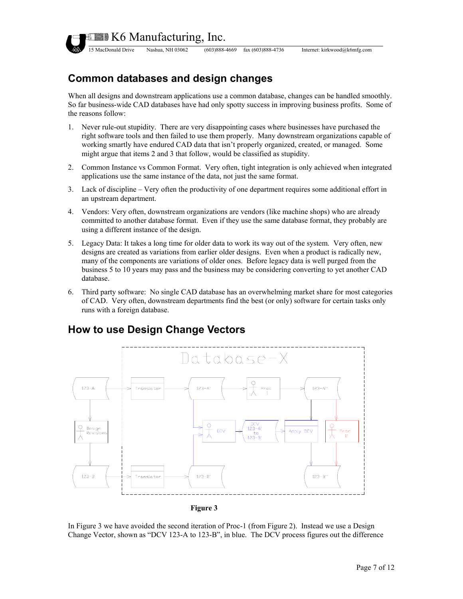

15 MacDonald Drive Nashua, NH 03062 (603)888-4669 fax (603)888-4736 Internet: kirkwood@k6mfg.com

## **Common databases and design changes**

When all designs and downstream applications use a common database, changes can be handled smoothly. So far business-wide CAD databases have had only spotty success in improving business profits. Some of the reasons follow:

- 1. Never rule-out stupidity. There are very disappointing cases where businesses have purchased the right software tools and then failed to use them properly. Many downstream organizations capable of working smartly have endured CAD data that isn't properly organized, created, or managed. Some might argue that items 2 and 3 that follow, would be classified as stupidity.
- 2. Common Instance vs Common Format. Very often, tight integration is only achieved when integrated applications use the same instance of the data, not just the same format.
- 3. Lack of discipline Very often the productivity of one department requires some additional effort in an upstream department.
- 4. Vendors: Very often, downstream organizations are vendors (like machine shops) who are already committed to another database format. Even if they use the same database format, they probably are using a different instance of the design.
- 5. Legacy Data: It takes a long time for older data to work its way out of the system. Very often, new designs are created as variations from earlier older designs. Even when a product is radically new, many of the components are variations of older ones. Before legacy data is well purged from the business 5 to 10 years may pass and the business may be considering converting to yet another CAD database.
- 6. Third party software: No single CAD database has an overwhelming market share for most categories of CAD. Very often, downstream departments find the best (or only) software for certain tasks only runs with a foreign database.



### <span id="page-6-0"></span>**How to use Design Change Vectors**

In [Figure 3](#page-6-0) we have avoided the second iteration of Proc-1 (from [Figure 2\)](#page-4-0). Instead we use a Design Change Vector, shown as "DCV 123-A to 123-B", in blue. The DCV process figures out the difference

**Figure 3**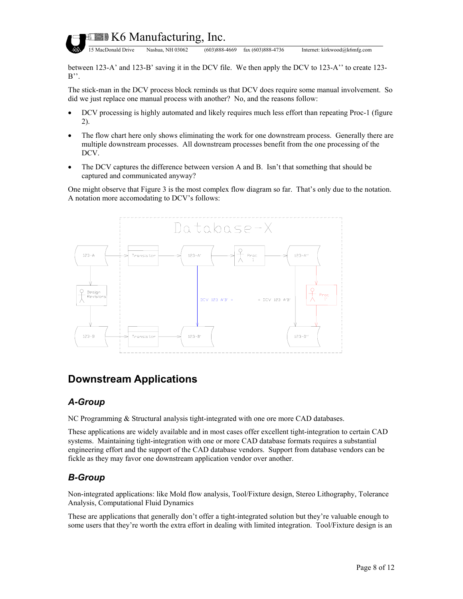

15 MacDonald Drive Nashua, NH 03062 (603)888-4669 fax (603)888-4736 Internet: kirkwood@k6mfg.com

between 123-A' and 123-B' saving it in the DCV file. We then apply the DCV to 123-A'' to create 123-  $B^{\prime\prime}$ .

The stick-man in the DCV process block reminds us that DCV does require some manual involvement. So did we just replace one manual process with another? No, and the reasons follow:

- DCV processing is highly automated and likely requires much less effort than repeating Proc-1 (figure 2).
- The flow chart here only shows eliminating the work for one downstream process. Generally there are multiple downstream processes. All downstream processes benefit from the one processing of the DCV.
- The DCV captures the difference between version A and B. Isn't that something that should be captured and communicated anyway?

One might observe that [Figure 3](#page-6-0) is the most complex flow diagram so far. That's only due to the notation. A notation more accomodating to DCV's follows:



### **Downstream Applications**

#### *A-Group*

NC Programming & Structural analysis tight-integrated with one ore more CAD databases.

These applications are widely available and in most cases offer excellent tight-integration to certain CAD systems. Maintaining tight-integration with one or more CAD database formats requires a substantial engineering effort and the support of the CAD database vendors. Support from database vendors can be fickle as they may favor one downstream application vendor over another.

#### *B-Group*

Non-integrated applications: like Mold flow analysis, Tool/Fixture design, Stereo Lithography, Tolerance Analysis, Computational Fluid Dynamics

These are applications that generally don't offer a tight-integrated solution but they're valuable enough to some users that they're worth the extra effort in dealing with limited integration. Tool/Fixture design is an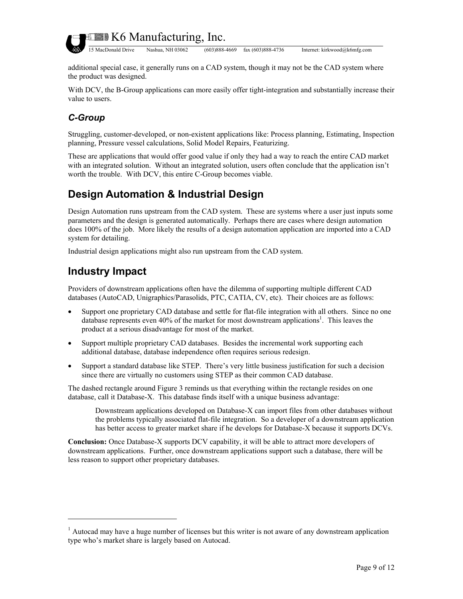

additional special case, it generally runs on a CAD system, though it may not be the CAD system where the product was designed.

With DCV, the B-Group applications can more easily offer tight-integration and substantially increase their value to users.

## *C-Group*

Struggling, customer-developed, or non-existent applications like: Process planning, Estimating, Inspection planning, Pressure vessel calculations, Solid Model Repairs, Featurizing.

These are applications that would offer good value if only they had a way to reach the entire CAD market with an integrated solution. Without an integrated solution, users often conclude that the application isn't worth the trouble. With DCV, this entire C-Group becomes viable.

## **Design Automation & Industrial Design**

Design Automation runs upstream from the CAD system. These are systems where a user just inputs some parameters and the design is generated automatically. Perhaps there are cases where design automation does 100% of the job. More likely the results of a design automation application are imported into a CAD system for detailing.

Industrial design applications might also run upstream from the CAD system.

## **Industry Impact**

 $\overline{a}$ 

Providers of downstream applications often have the dilemma of supporting multiple different CAD databases (AutoCAD, Unigraphics/Parasolids, PTC, CATIA, CV, etc). Their choices are as follows:

- Support one proprietary CAD database and settle for flat-file integration with all others. Since no one database represents even 40% of the market for most downstream applications<sup>[1](#page-8-0)</sup>. This leaves the product at a serious disadvantage for most of the market.
- Support multiple proprietary CAD databases. Besides the incremental work supporting each additional database, database independence often requires serious redesign.
- Support a standard database like STEP. There's very little business justification for such a decision since there are virtually no customers using STEP as their common CAD database.

The dashed rectangle around [Figure 3](#page-6-0) reminds us that everything within the rectangle resides on one database, call it Database-X. This database finds itself with a unique business advantage:

Downstream applications developed on Database-X can import files from other databases without the problems typically associated flat-file integration. So a developer of a downstream application has better access to greater market share if he develops for Database-X because it supports DCVs.

**Conclusion:** Once Database-X supports DCV capability, it will be able to attract more developers of downstream applications. Further, once downstream applications support such a database, there will be less reason to support other proprietary databases.

<span id="page-8-0"></span> $<sup>1</sup>$  Autocad may have a huge number of licenses but this writer is not aware of any downstream application</sup> type who's market share is largely based on Autocad.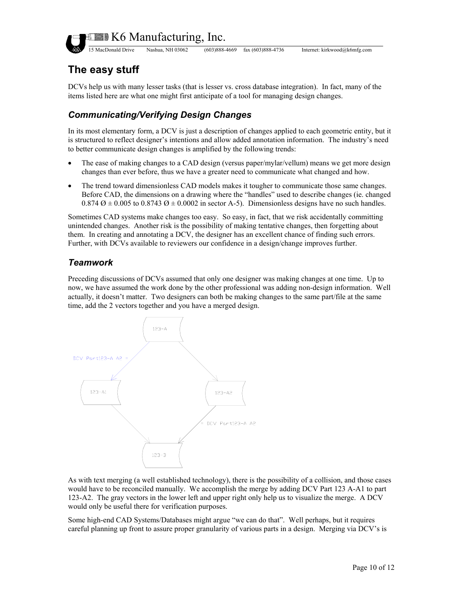

15 MacDonald Drive Nashua, NH 03062 (603)888-4669 fax (603)888-4736 Internet: kirkwood@k6mfg.com

## **The easy stuff**

DCVs help us with many lesser tasks (that is lesser vs. cross database integration). In fact, many of the items listed here are what one might first anticipate of a tool for managing design changes.

#### *Communicating/Verifying Design Changes*

In its most elementary form, a DCV is just a description of changes applied to each geometric entity, but it to b etter communicate design changes is amplified by the following trends: is structured to reflect designer's intentions and allow added annotation information. The industry's need

- The ease of making changes to a CAD design (versus paper/mylar/vellum) means we get more design changes than ever before, thus we have a greater need to communicate what changed and how.
- The trend toward dimensionless CAD models makes it tougher to communicate those same changes. 0.874  $\varnothing$  ± 0.005 to 0.8743  $\varnothing$  ± 0.0002 in sector A-5). Dimensionless designs have no such handles. Before CAD, the dimensions on a drawing where the "handles" used to describe changes (ie. changed

Sometimes CAD systems make changes too easy. So easy, in fact, that we risk accidentally committing unintended changes. Another risk is the possibility of making tentative changes, then forgetting about them. In creating and annotating a DCV, the designer has an excellent chance of finding such errors. Further, with DCVs available to reviewers our confidence in a design/change improves further.

#### *Teamwork*

Preceding discussions of DCVs assumed that only one designer was making changes at one time. Up to now, we have assumed the work done by the other professional was adding non-design information. Well actually, it doesn't matter. Two designers can both be making changes to the same part/file at the same time, add the 2 vectors together and you have a merged design.



123-A2. The gray vectors in the lower left and upper right only help us to visualize the merge. A DCV would only be useful there for verification purposes. As with text merging (a well established technology), there is the possibility of a collision, and those cases would have to be reconciled manually. We accomplish the merge by adding DCV Part 123 A-A1 to part

Some high-end CAD Systems/Databases might argue "we can do that". Well perhaps, but it requires careful planning up front to assure proper granularity of various parts in a design. Merging via DCV's is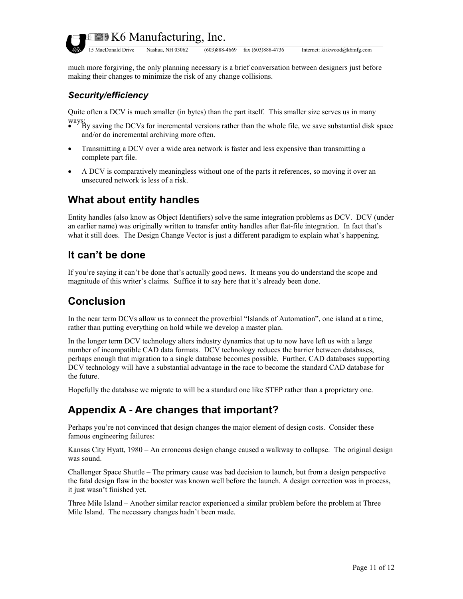

**EDITION K6 Manufacturing, Inc.** 

15 MacDonald Drive Nashua, NH 03062 (603)888-4669 fax (603)888-4736 Internet: kirkwood@k6mfg.com

much more forgiving, the only planning necessary is a brief conversation between designers just before making their changes to minimize the risk of any change collisions.

#### Security/efficiency

Quite often a DCV is much smaller (in bytes) than the part itself. This smaller size serves us in many

- ways:<br>• By saving the DCVs for incremental versions rather than the whole file, we save substantial disk space and/or do incremental archiving more often.
- Transmitting a DCV over a wide area network is faster and less expensive than transmitting a complete part file.
- A DCV is comparatively meaningless without one of the parts it references, so moving it over an unsecured network is less of a risk.

### **What about entity handles**

Entity handles (also know as Object Identifiers) solve the same integration problems as DCV. DCV (under an earlier name) was originally written to transfer entity handles after flat-file integration. In fact that's what it still does. The Design Change Vector is just a different paradigm to explain what's happening.

### **It can't be done**

If you're saying it can't be done that's actually good news. It means you do understand the scope and magnitude of this writer's claims. Suffice it to say here that it's already been done.

### **Conclusion**

In the near term DCVs allow us to connect the proverbial "Islands of Automation", one island at a time, rather than putting everything on hold while we develop a master plan.

perhaps enough that migration to a single database becomes possible. Further, CAD databases supporting DCV technology will have a substantial advantage in the race to become the standard CAD database for In the longer term DCV technology alters industry dynamics that up to now have left us with a large number of incompatible CAD data formats. DCV technology reduces the barrier between databases, the future.

Hopefully the database we migrate to will be a standard one like STEP rather than a proprietary one.

### **Appendix A - Are changes that important?**

famous engineering failures: Perhaps you're not convinced that design changes the major element of design costs. Consider these

Kansas City Hyatt, 1980 – An erroneous design change caused a walkway to collapse. The original design was sound.

Challenger Space Shuttle – The primary cause was bad decision to launch, but from a design perspective the fatal design flaw in the booster was known well before the launch. A design correction was in process, it just wasn't finished yet.

Three Mile Island – Another similar reactor experienced a similar problem before the problem at Three Mile Island. The necessary changes hadn't been made.